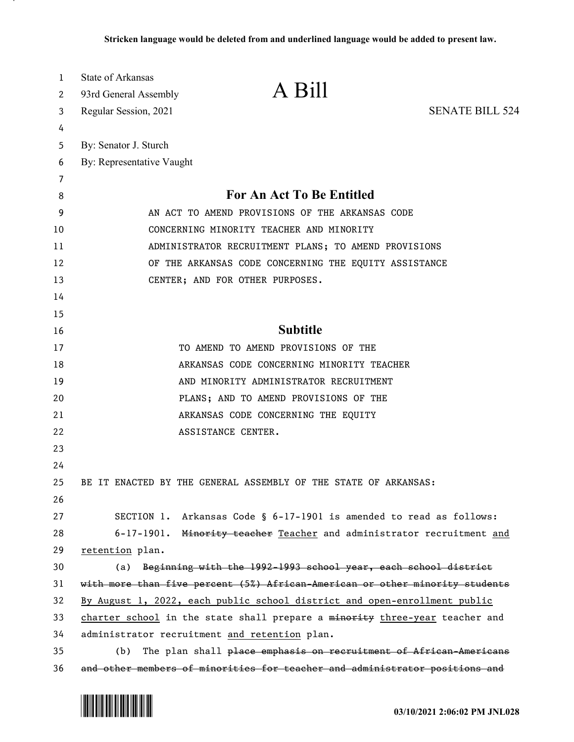| 1      | <b>State of Arkansas</b>                                                     | A Bill                                                            |                        |
|--------|------------------------------------------------------------------------------|-------------------------------------------------------------------|------------------------|
| 2      | 93rd General Assembly                                                        |                                                                   |                        |
| 3      | Regular Session, 2021                                                        |                                                                   | <b>SENATE BILL 524</b> |
| 4      |                                                                              |                                                                   |                        |
| 5      | By: Senator J. Sturch                                                        |                                                                   |                        |
| 6      | By: Representative Vaught                                                    |                                                                   |                        |
| 7<br>8 |                                                                              | <b>For An Act To Be Entitled</b>                                  |                        |
| 9      |                                                                              | AN ACT TO AMEND PROVISIONS OF THE ARKANSAS CODE                   |                        |
| 10     |                                                                              | CONCERNING MINORITY TEACHER AND MINORITY                          |                        |
| 11     |                                                                              | ADMINISTRATOR RECRUITMENT PLANS; TO AMEND PROVISIONS              |                        |
| 12     |                                                                              | OF THE ARKANSAS CODE CONCERNING THE EQUITY ASSISTANCE             |                        |
| 13     | CENTER; AND FOR OTHER PURPOSES.                                              |                                                                   |                        |
| 14     |                                                                              |                                                                   |                        |
| 15     |                                                                              |                                                                   |                        |
| 16     |                                                                              | <b>Subtitle</b>                                                   |                        |
| 17     |                                                                              | TO AMEND TO AMEND PROVISIONS OF THE                               |                        |
| 18     |                                                                              | ARKANSAS CODE CONCERNING MINORITY TEACHER                         |                        |
| 19     |                                                                              | AND MINORITY ADMINISTRATOR RECRUITMENT                            |                        |
| 20     |                                                                              | PLANS; AND TO AMEND PROVISIONS OF THE                             |                        |
| 21     |                                                                              | ARKANSAS CODE CONCERNING THE EQUITY                               |                        |
| 22     | ASSISTANCE CENTER.                                                           |                                                                   |                        |
| 23     |                                                                              |                                                                   |                        |
| 24     |                                                                              |                                                                   |                        |
| 25     | BE IT ENACTED BY THE GENERAL ASSEMBLY OF THE STATE OF ARKANSAS:              |                                                                   |                        |
| 26     |                                                                              |                                                                   |                        |
| 27     | SECTION 1.                                                                   | Arkansas Code § 6-17-1901 is amended to read as follows:          |                        |
| 28     | $6 - 17 - 1901$ .                                                            | Minority teacher Teacher and administrator recruitment and        |                        |
| 29     | retention plan.                                                              |                                                                   |                        |
| 30     | (a)                                                                          | Beginning with the 1992-1993 school year, each school district    |                        |
| 31     | with more than five percent (5%) African-American or other minority students |                                                                   |                        |
| 32     | By August 1, 2022, each public school district and open-enrollment public    |                                                                   |                        |
| 33     | charter school in the state shall prepare a minority three-year teacher and  |                                                                   |                        |
| 34     | administrator recruitment and retention plan.                                |                                                                   |                        |
| 35     | (b)                                                                          | The plan shall place emphasis on recruitment of African-Americans |                        |
| 36     | and other members of minorities for teacher and administrator positions and  |                                                                   |                        |

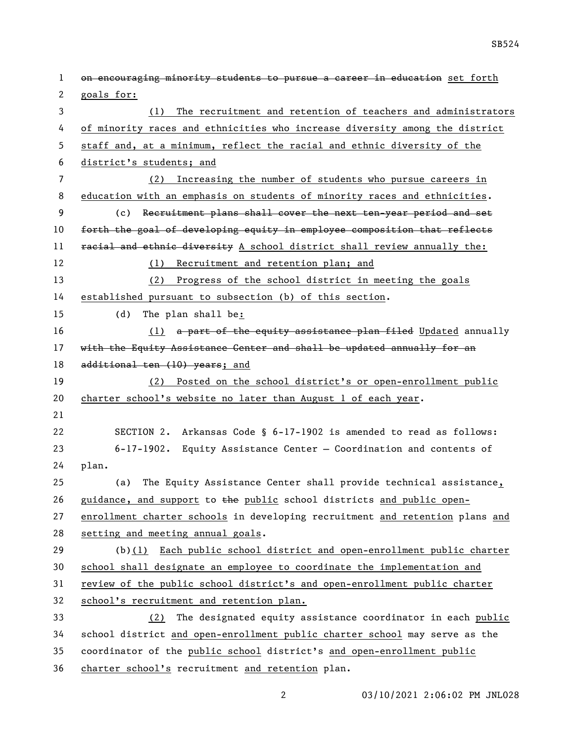1 on encouraging minority students to pursue a career in education set forth goals for: (1) The recruitment and retention of teachers and administrators of minority races and ethnicities who increase diversity among the district staff and, at a minimum, reflect the racial and ethnic diversity of the district's students; and (2) Increasing the number of students who pursue careers in education with an emphasis on students of minority races and ethnicities. (c) Recruitment plans shall cover the next ten-year period and set 10 forth the goal of developing equity in employee composition that reflects 11 racial and ethnic diversity A school district shall review annually the: (1) Recruitment and retention plan; and (2) Progress of the school district in meeting the goals established pursuant to subsection (b) of this section. (d) The plan shall be: 16 (1) a part of the equity assistance plan filed Updated annually 17 with the Equity Assistance Center and shall be updated annually for an 18 additional ten (10) years; and (2) Posted on the school district's or open-enrollment public charter school's website no later than August 1 of each year. SECTION 2. Arkansas Code § 6-17-1902 is amended to read as follows: 6-17-1902. Equity Assistance Center — Coordination and contents of plan. (a) The Equity Assistance Center shall provide technical assistance, 26 guidance, and support to  $t$ he public school districts and public open- enrollment charter schools in developing recruitment and retention plans and setting and meeting annual goals. (b)(1) Each public school district and open-enrollment public charter school shall designate an employee to coordinate the implementation and review of the public school district's and open-enrollment public charter school's recruitment and retention plan. (2) The designated equity assistance coordinator in each public school district and open-enrollment public charter school may serve as the coordinator of the public school district's and open-enrollment public charter school's recruitment and retention plan.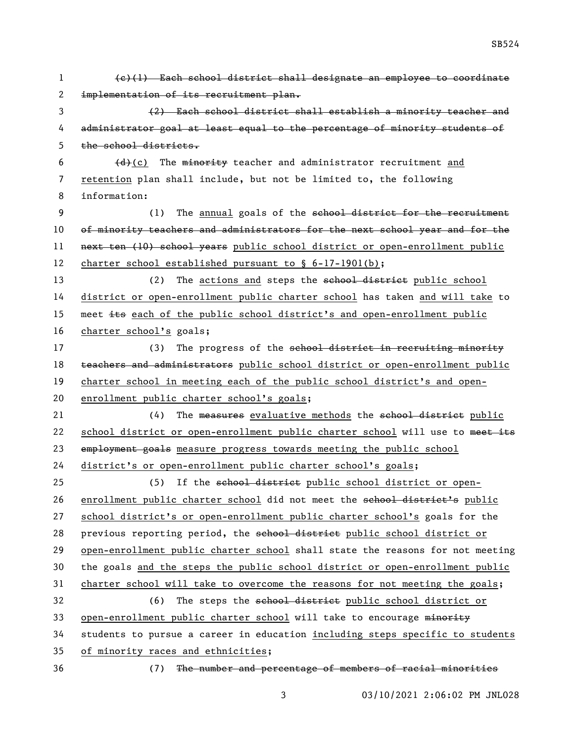1 (c)(1) Each school district shall designate an employee to coordinate 2 implementation of its recruitment plan. 3 (2) Each school district shall establish a minority teacher and 4 administrator goal at least equal to the percentage of minority students of 5 the school districts. 6  $(d)(c)$  The minority teacher and administrator recruitment and 7 retention plan shall include, but not be limited to, the following 8 information: 9 (1) The annual goals of the school district for the recruitment 10 of minority teachers and administrators for the next school year and for the 11 next ten (10) school years public school district or open-enrollment public 12 charter school established pursuant to § 6-17-1901(b); 13 (2) The actions and steps the school district public school 14 district or open-enrollment public charter school has taken and will take to 15 meet its each of the public school district's and open-enrollment public 16 charter school's goals; 17 (3) The progress of the school district in recruiting minority 18 teachers and administrators public school district or open-enrollment public 19 charter school in meeting each of the public school district's and open-20 enrollment public charter school's goals; 21 (4) The measures evaluative methods the school district public 22 school district or open-enrollment public charter school will use to meet its 23 employment goals measure progress towards meeting the public school 24 district's or open-enrollment public charter school's goals; 25 (5) If the school district public school district or open-26 enrollment public charter school did not meet the school district's public 27 school district's or open-enrollment public charter school's goals for the 28 previous reporting period, the school district public school district or 29 open-enrollment public charter school shall state the reasons for not meeting 30 the goals and the steps the public school district or open-enrollment public 31 charter school will take to overcome the reasons for not meeting the goals; 32 (6) The steps the school district public school district or 33 open-enrollment public charter school will take to encourage minority 34 students to pursue a career in education including steps specific to students 35 of minority races and ethnicities; 36 (7) The number and percentage of members of racial minorities

SB524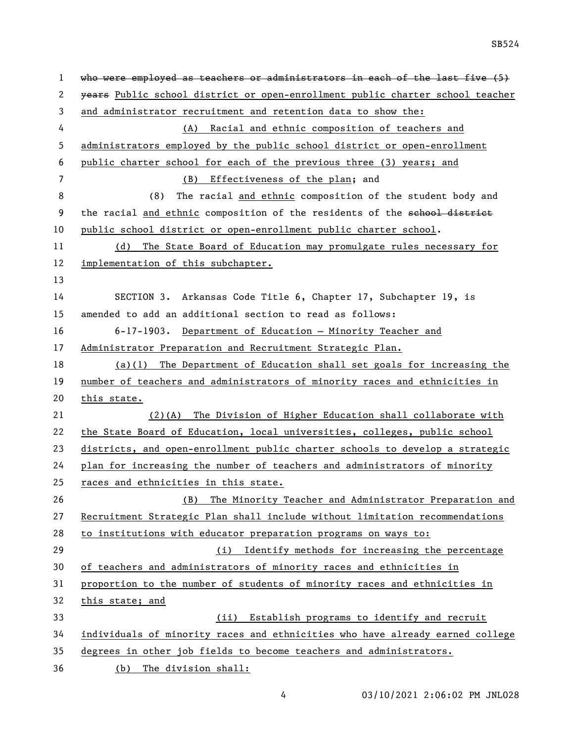| $\mathbf 1$ | who were employed as teachers or administrators in each of the last five (5)  |
|-------------|-------------------------------------------------------------------------------|
| 2           | years Public school district or open-enrollment public charter school teacher |
| 3           | and administrator recruitment and retention data to show the:                 |
| 4           | (A) Racial and ethnic composition of teachers and                             |
| 5           | administrators employed by the public school district or open-enrollment      |
| 6           | public charter school for each of the previous three (3) years; and           |
| 7           | Effectiveness of the plan; and<br>(B)                                         |
| 8           | The racial and ethnic composition of the student body and<br>(8)              |
| 9           | the racial and ethnic composition of the residents of the school district     |
| 10          | public school district or open-enrollment public charter school.              |
| 11          | (d) The State Board of Education may promulgate rules necessary for           |
| 12          | implementation of this subchapter.                                            |
| 13          |                                                                               |
| 14          | SECTION 3. Arkansas Code Title 6, Chapter 17, Subchapter 19, is               |
| 15          | amended to add an additional section to read as follows:                      |
| 16          | 6-17-1903. Department of Education - Minority Teacher and                     |
| 17          | Administrator Preparation and Recruitment Strategic Plan.                     |
| 18          | $(a)(1)$ The Department of Education shall set goals for increasing the       |
| 19          | number of teachers and administrators of minority races and ethnicities in    |
| 20          | this state.                                                                   |
| 21          | (2)(A) The Division of Higher Education shall collaborate with                |
| 22          | the State Board of Education, local universities, colleges, public school     |
| 23          | districts, and open-enrollment public charter schools to develop a strategic  |
| 24          | plan for increasing the number of teachers and administrators of minority     |
| 25          | races and ethnicities in this state.                                          |
| 26          | The Minority Teacher and Administrator Preparation and<br>(B)                 |
| 27          | Recruitment Strategic Plan shall include without limitation recommendations   |
| 28          | to institutions with educator preparation programs on ways to:                |
| 29          | (i) Identify methods for increasing the percentage                            |
| 30          | of teachers and administrators of minority races and ethnicities in           |
| 31          | proportion to the number of students of minority races and ethnicities in     |
| 32          | this state; and                                                               |
| 33          | Establish programs to identify and recruit<br>(ii)                            |
| 34          | individuals of minority races and ethnicities who have already earned college |
| 35          | degrees in other job fields to become teachers and administrators.            |
| 36          | The division shall:<br>(b)                                                    |